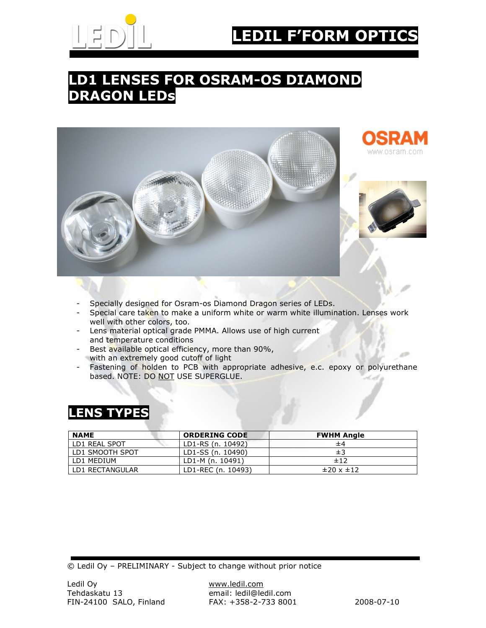

# **F'FORM OPTIC**

### LD1 LENSES FOR OSRAM-OS DIAMOND DRAGON LEDs



- Specially designed for Osram-os Diamond Dragon series of LEDs.
- Special care taken to make a uniform white or warm white illumination. Lenses work well with other colors, too.
- Lens material optical grade PMMA. Allows use of high current and temperature conditions
- Best available optical efficiency, more than 90%, with an extremely good cutoff of light
- Fastening of holden to PCB with appropriate adhesive, e.c. epoxy or polyurethane based. NOTE: DO NOT USE SUPERGLUE.

#### LENS TYPES

| <b>NAME</b>     | <b>ORDERING CODE</b> | <b>FWHM Angle</b>      |
|-----------------|----------------------|------------------------|
| LD1 REAL SPOT   | LD1-RS (n. 10492)    | ±4                     |
| LD1 SMOOTH SPOT | LD1-SS (n. 10490)    | ±3                     |
| LD1 MEDIUM      | LD1-M (n. 10491)     | ±12                    |
| LD1 RECTANGULAR | LD1-REC (n. 10493)   | $\pm 20 \times \pm 12$ |

© Ledil Oy – PRELIMINARY - Subject to change without prior notice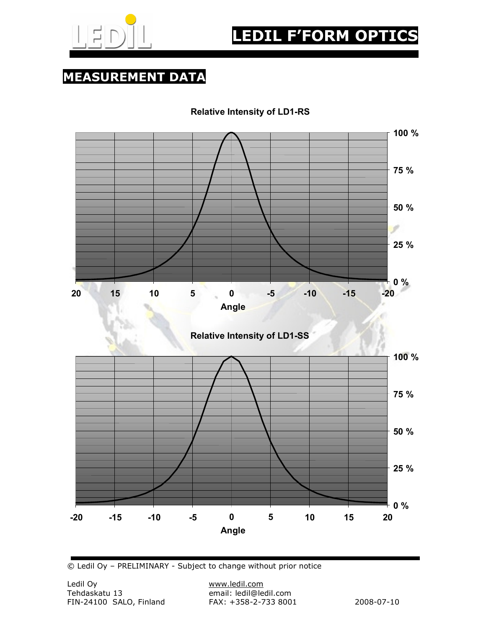

MEASUREMENT DATA

Relative Intensity of LD1-RS



© Ledil Oy – PRELIMINARY - Subject to change without prior notice

email: ledil@ledil.com<br>FAX: +358-2-733 8001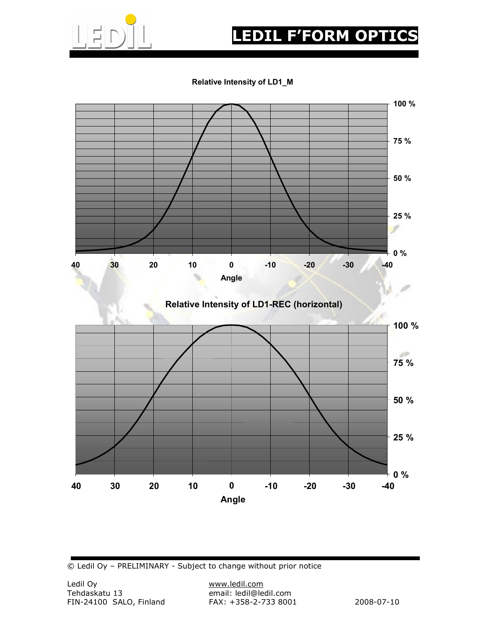

## LEDIL F'FORM OPTICS

#### Relative Intensity of LD1\_M



© Ledil Oy – PRELIMINARY - Subject to change without prior notice

email: ledil@ledil.com<br>FAX: +358-2-733 8001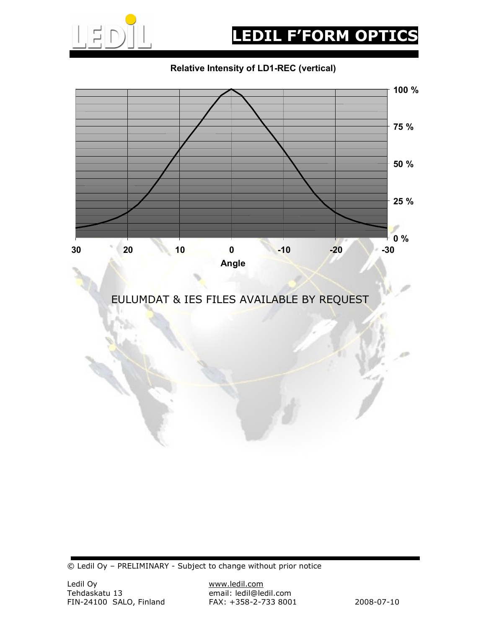

#### Relative Intensity of LD1-REC (vertical)



© Ledil Oy – PRELIMINARY - Subject to change without prior notice